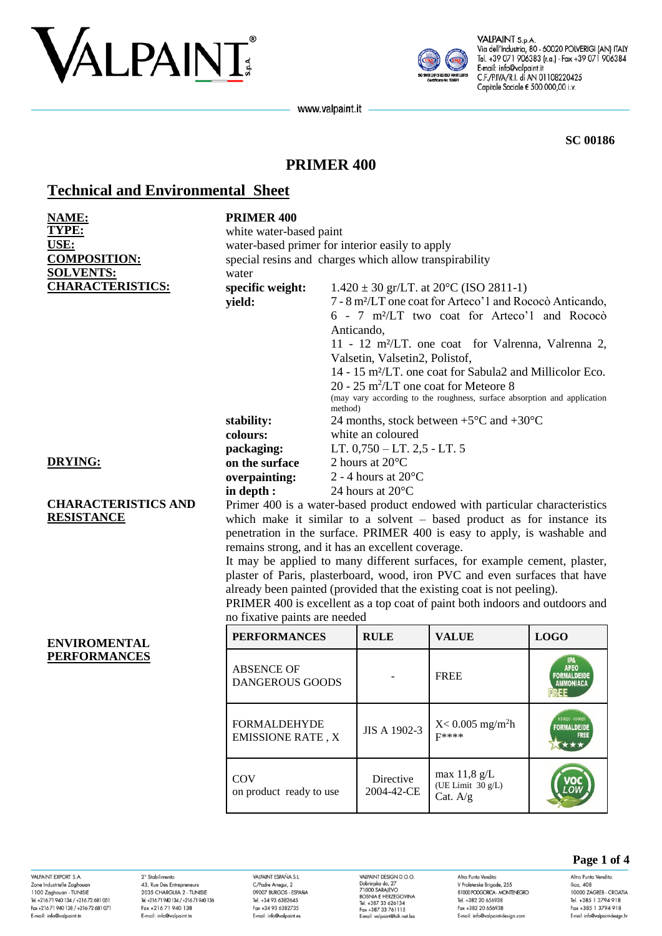



VALPAINT S.p.A. Victor VI 0:0:0:0<br>Via dell'Industria, 80 - 60020 POLVERIGI (AN) ITALY<br>Tel. +39 071 906383 (r.a.) - Fax +39 071 906384 E-mail: info@valpaint.it C.F./P.IVA/R.I. di AN 01108220425 Capitale Sociale € 500.000,00 i.v.

www.valpaint.it

**SC 00186**

# **PRIMER 400**

# **Technical and Environmental Sheet**

| <b>NAME:</b><br>TYPE:<br>USE:<br><b>COMPOSITION:</b><br><b>SOLVENTS:</b><br><b>CHARACTERISTICS:</b> | PRIMER <sub>400</sub><br>white water-based paint<br>water-based primer for interior easily to apply<br>special resins and charges which allow transpirability<br>water<br>specific weight:<br>$1.420 \pm 30$ gr/LT. at 20°C (ISO 2811-1)<br>yield:<br>7 - 8 m <sup>2</sup> /LT one coat for Arteco'l and Rococò Anticando,<br>6 - 7 m <sup>2</sup> /LT two coat for Arteco'l and Rococò<br>Anticando,<br>11 - 12 m <sup>2</sup> /LT. one coat for Valrenna, Valrenna 2,<br>Valsetin, Valsetin2, Polistof,<br>14 - 15 m <sup>2</sup> /LT. one coat for Sabula2 and Millicolor Eco.<br>20 - 25 m <sup>2</sup> /LT one coat for Meteore 8<br>(may vary according to the roughness, surface absorption and application<br>method) |                                                             |                               |                                                 |                                      |  |
|-----------------------------------------------------------------------------------------------------|-------------------------------------------------------------------------------------------------------------------------------------------------------------------------------------------------------------------------------------------------------------------------------------------------------------------------------------------------------------------------------------------------------------------------------------------------------------------------------------------------------------------------------------------------------------------------------------------------------------------------------------------------------------------------------------------------------------------------------|-------------------------------------------------------------|-------------------------------|-------------------------------------------------|--------------------------------------|--|
|                                                                                                     | stability:                                                                                                                                                                                                                                                                                                                                                                                                                                                                                                                                                                                                                                                                                                                    | 24 months, stock between $+5^{\circ}$ C and $+30^{\circ}$ C |                               |                                                 |                                      |  |
|                                                                                                     | colours:                                                                                                                                                                                                                                                                                                                                                                                                                                                                                                                                                                                                                                                                                                                      | white an coloured                                           |                               |                                                 |                                      |  |
| <b>DRYING:</b>                                                                                      | packaging:<br>on the surface                                                                                                                                                                                                                                                                                                                                                                                                                                                                                                                                                                                                                                                                                                  |                                                             | LT. $0,750 - LT. 2,5 - LT. 5$ |                                                 |                                      |  |
|                                                                                                     | overpainting:                                                                                                                                                                                                                                                                                                                                                                                                                                                                                                                                                                                                                                                                                                                 | 2 hours at 20°C<br>2 - 4 hours at $20^{\circ}$ C            |                               |                                                 |                                      |  |
|                                                                                                     | in depth :                                                                                                                                                                                                                                                                                                                                                                                                                                                                                                                                                                                                                                                                                                                    | 24 hours at 20°C                                            |                               |                                                 |                                      |  |
| <b>CHARACTERISTICS AND</b><br><b>RESISTANCE</b>                                                     | Primer 400 is a water-based product endowed with particular characteristics<br>which make it similar to a solvent $-$ based product as for instance its<br>penetration in the surface. PRIMER 400 is easy to apply, is washable and<br>remains strong, and it has an excellent coverage.<br>It may be applied to many different surfaces, for example cement, plaster,<br>plaster of Paris, plasterboard, wood, iron PVC and even surfaces that have<br>already been painted (provided that the existing coat is not peeling).<br>PRIMER 400 is excellent as a top coat of paint both indoors and outdoors and<br>no fixative paints are needed                                                                               |                                                             |                               |                                                 |                                      |  |
| <b>ENVIROMENTAL</b>                                                                                 | <b>PERFORMANCES</b>                                                                                                                                                                                                                                                                                                                                                                                                                                                                                                                                                                                                                                                                                                           |                                                             | <b>RULE</b>                   | <b>VALUE</b>                                    | <b>LOGO</b>                          |  |
| <b>PERFORMANCES</b>                                                                                 | <b>ABSENCE OF</b><br><b>DANGEROUS GOODS</b>                                                                                                                                                                                                                                                                                                                                                                                                                                                                                                                                                                                                                                                                                   |                                                             |                               | <b>FREE</b>                                     | APEO<br>IRMALDEIDE                   |  |
|                                                                                                     | <b>FORMALDEHYDE</b><br><b>EMISSIONE RATE , X</b>                                                                                                                                                                                                                                                                                                                                                                                                                                                                                                                                                                                                                                                                              |                                                             | JIS A 1902-3                  | $X < 0.005$ mg/m <sup>2</sup> h<br>$F***$       | K09025 - K0902<br><b>FORMALDEIDE</b> |  |
|                                                                                                     | COV<br>on product ready to use                                                                                                                                                                                                                                                                                                                                                                                                                                                                                                                                                                                                                                                                                                |                                                             | Directive<br>2004-42-CE       | max 11,8 g/L<br>(UE Limit 30 g/L)<br>Cat. $A/g$ |                                      |  |
|                                                                                                     |                                                                                                                                                                                                                                                                                                                                                                                                                                                                                                                                                                                                                                                                                                                               |                                                             |                               |                                                 |                                      |  |

VAI PAINT FYPORT S.A. Zone Industrielle Zaghouar 1100 Zaghouan - TUNISIE<br>1100 Zaghouan - TUNISIE<br>Tel. +216 71 940 134 / +216 72 681 051 Fax +216 71 940 138 / +216 72 681 071 E-mail: info@valpaint.tn

2° Stabilimento<br>43, Rue Des Entrepreneurs 2035 CHARGUIA 2 - TUNISIE<br>Tel. +21671 940 134 / +21671 940 136 Fax +216 71 940 138<br>E-mail: info@valpaint.tn

VAI PAINT FSPAÑA ST valpaint Espana s.l.<br>C/Padre Arregui, 2<br>09007 BURGOS - ESPAÑA<br>Tel. +34 93 6382645 Fax +34 93 6382735 E-mail: info@valpaint.es

VALPAINT DESIGN D.O.O. VALPAINT DESIGN D.O.O.<br>Dobrinjska do, 27<br>71000 SARAJEVO<br>BOSNIA E HERZEGOVINA<br>Tel. +387 33 626134<br>Fax +387 33 761115 E-mail: valpaint@bih.net.ba

Altro Punto Vendita:<br>V Proleterske Brigade, 255 **RIOO BODGORCA - MONTENEGRO** Tel. +382 20 656938 Fax +382 20 656938<br>E-mail: info@valpaint-design.com

## **Page 1 of 4**

Altro Punto Vendita:  $llica, 408$ 10000 ZAGREB - CROATIA<br>Tel. +385 1 3794 918 Fax +385 1 3794 918 E-mail: info@valpaint-desian.hr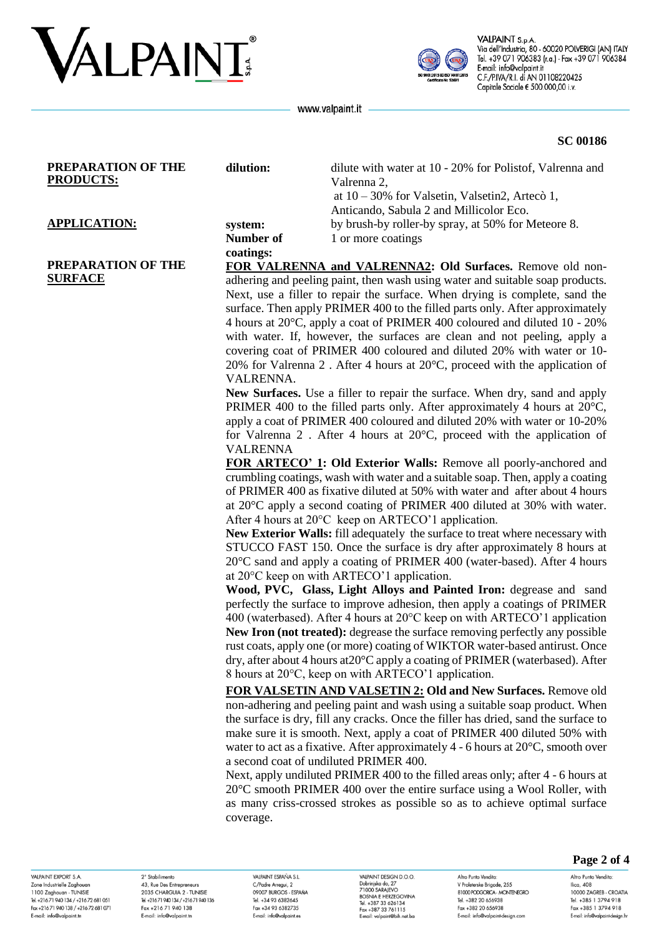



**VALPAINT** S.p.A.<br>Via dell'Industria, 80 - 60020 POLVERIGI (AN) ITALY<br>Tel. +39 071 906383 (r.a.) - Fax +39 071 906384 E-mail: info@valpaint.it C.F./P.IVA/R.I. di AN 01108220425 Capitale Sociale € 500.000,00 i.v.

www.valpaint.it

## **SC 00186**

| PREPARATION OF THE<br><b>PRODUCTS:</b>      | dilution:                         | dilute with water at 10 - 20% for Polistof, Valrenna and<br>Valrenna 2,<br>at $10 - 30\%$ for Valsetin, Valsetin2, Artecò 1,<br>Anticando, Sabula 2 and Millicolor Eco.                                                                                                                                                                                                                                                                                                                                                                                                                                                                                                                                                                                                                                                      |
|---------------------------------------------|-----------------------------------|------------------------------------------------------------------------------------------------------------------------------------------------------------------------------------------------------------------------------------------------------------------------------------------------------------------------------------------------------------------------------------------------------------------------------------------------------------------------------------------------------------------------------------------------------------------------------------------------------------------------------------------------------------------------------------------------------------------------------------------------------------------------------------------------------------------------------|
| <b>APPLICATION:</b>                         | system:<br>Number of<br>coatings: | by brush-by roller-by spray, at 50% for Meteore 8.<br>1 or more coatings                                                                                                                                                                                                                                                                                                                                                                                                                                                                                                                                                                                                                                                                                                                                                     |
| <b>PREPARATION OF THE</b><br><b>SURFACE</b> | VALRENNA.                         | FOR VALRENNA and VALRENNA2: Old Surfaces. Remove old non-<br>adhering and peeling paint, then wash using water and suitable soap products.<br>Next, use a filler to repair the surface. When drying is complete, sand the<br>surface. Then apply PRIMER 400 to the filled parts only. After approximately<br>4 hours at 20°C, apply a coat of PRIMER 400 coloured and diluted 10 - 20%<br>with water. If, however, the surfaces are clean and not peeling, apply a<br>covering coat of PRIMER 400 coloured and diluted 20% with water or 10-<br>20% for Valrenna 2. After 4 hours at $20^{\circ}$ C, proceed with the application of<br>New Surfaces. Use a filler to repair the surface. When dry, sand and apply                                                                                                           |
|                                             | <b>VALRENNA</b>                   | PRIMER 400 to the filled parts only. After approximately 4 hours at $20^{\circ}$ C,<br>apply a coat of PRIMER 400 coloured and diluted 20% with water or 10-20%<br>for Valrenna 2. After 4 hours at $20^{\circ}$ C, proceed with the application of<br>FOR ARTECO' 1: Old Exterior Walls: Remove all poorly-anchored and<br>crumbling coatings, wash with water and a suitable soap. Then, apply a coating<br>of PRIMER 400 as fixative diluted at 50% with water and after about 4 hours<br>at 20°C apply a second coating of PRIMER 400 diluted at 30% with water.<br>After 4 hours at 20°C keep on ARTECO'l application.                                                                                                                                                                                                  |
|                                             |                                   | New Exterior Walls: fill adequately the surface to treat where necessary with<br>STUCCO FAST 150. Once the surface is dry after approximately 8 hours at<br>20°C sand and apply a coating of PRIMER 400 (water-based). After 4 hours<br>at 20°C keep on with ARTECO'1 application.<br>Wood, PVC, Glass, Light Alloys and Painted Iron: degrease and sand<br>perfectly the surface to improve adhesion, then apply a coatings of PRIMER<br>400 (waterbased). After 4 hours at 20°C keep on with ARTECO'l application<br>New Iron (not treated): degrease the surface removing perfectly any possible<br>rust coats, apply one (or more) coating of WIKTOR water-based antirust. Once<br>dry, after about 4 hours at 20°C apply a coating of PRIMER (waterbased). After<br>8 hours at 20°C, keep on with ARTECO'l application. |
|                                             | coverage.                         | FOR VALSETIN AND VALSETIN 2: Old and New Surfaces. Remove old<br>non-adhering and peeling paint and wash using a suitable soap product. When<br>the surface is dry, fill any cracks. Once the filler has dried, sand the surface to<br>make sure it is smooth. Next, apply a coat of PRIMER 400 diluted 50% with<br>water to act as a fixative. After approximately 4 - 6 hours at 20°C, smooth over<br>a second coat of undiluted PRIMER 400.<br>Next, apply undiluted PRIMER 400 to the filled areas only; after 4 - 6 hours at<br>$20^{\circ}$ C smooth PRIMER 400 over the entire surface using a Wool Roller, with<br>as many criss-crossed strokes as possible so as to achieve optimal surface                                                                                                                        |

VALPAINT EXPORT S.A. Zone Industrielle Zaghouar 1100 Zaghouan - TUNISIE<br>Tel. +216 71 940 134 / +216 72 681 051 Fax +21671 940 138 / +21672 681 071<br>E-mail: info@valpaint.tn

2° Stabilimento<br>43, Rue Des Entrepreneurs 2035 CHARGUIA 2 - TUNISIE<br>Tel. +21671 940 134 / +21671 940 136 Fax +216 71 940 138<br>E-mail: info@valpaint.tn

VALPAINT ESPAÑA S.L.<br>C/Padre Arregui, 2<br>09007 BURGOS - ESPAÑA<br>Tel. +34 93 6382645 Fax +34 93 6382735<br>E-mail: info@valpaint.es

VAIPAINT DESIGN D.O.O.<br>Dobrinjska do, 27<br>71000 SARAJEVO<br>BOSNIA E HERZEGOVINA<br>Tel. +387 33 626134<br>Fax +387 33 761115<br>E-mail: valpaint@bih.net.ba

Altro Punto Vendita:<br>V Proleterske Brigade, 255 81000 PODGORICA - MONTENEGRO<br>Tel. +382 20 656938 Fax +382 20 656938<br>E-mail: info@valpaint-design.com

# Page 2 of 4

Altro Punto Vendita:<br>Ilica, 408 10000 ZAGREB - CROATIA<br>Tel. +385 1 3794 918 Fax +385 1 3794 918<br>E-mail: info@valpaint-design.hr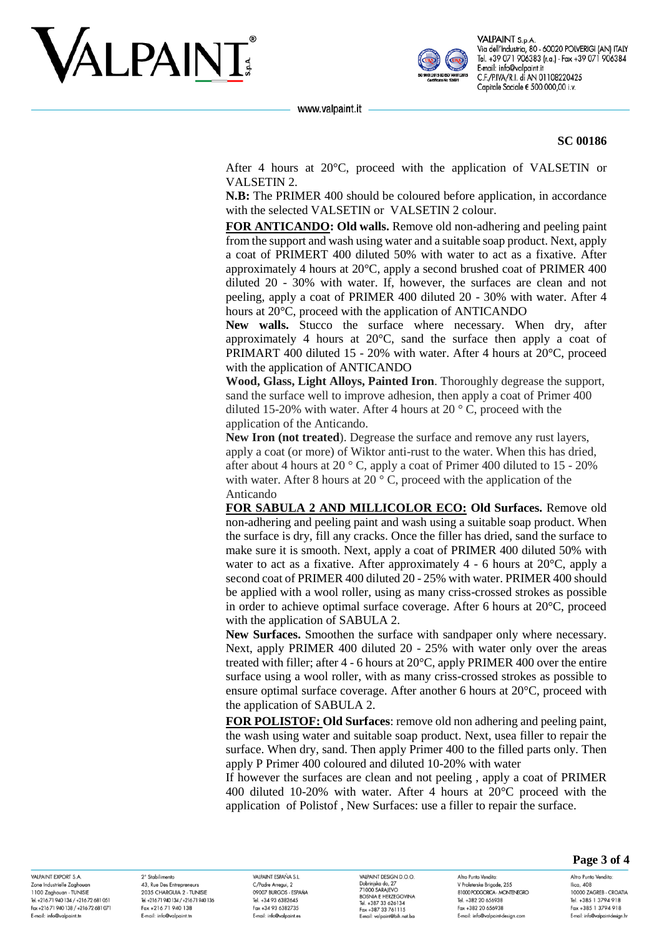# **VALPAINT**



VALPAINT S.p.A Via dell'Industria, 80 - 60020 POLVERIGI (AN) ITALY Tel. +39 071 906383 (r.a.) - Fax +39 071 906384 E-mail: info@valpaint.it C.F./P.IVA/R.I. di AN 01108220425 Capitale Sociale € 500.000,00 i.v.

www.valpaint.it

### **SC 00186**

After 4 hours at 20°C, proceed with the application of VALSETIN or VALSETIN 2.

**N.B:** The PRIMER 400 should be coloured before application, in accordance with the selected VALSETIN or VALSETIN 2 colour.

**FOR ANTICANDO: Old walls.** Remove old non-adhering and peeling paint from the support and wash using water and a suitable soap product. Next, apply a coat of PRIMERT 400 diluted 50% with water to act as a fixative. After approximately 4 hours at 20°C, apply a second brushed coat of PRIMER 400 diluted 20 - 30% with water. If, however, the surfaces are clean and not peeling, apply a coat of PRIMER 400 diluted 20 - 30% with water. After 4 hours at 20°C, proceed with the application of ANTICANDO

**New walls.** Stucco the surface where necessary. When dry, after approximately 4 hours at 20°C, sand the surface then apply a coat of PRIMART 400 diluted 15 - 20% with water. After 4 hours at 20°C, proceed with the application of ANTICANDO

**Wood, Glass, Light Alloys, Painted Iron**. Thoroughly degrease the support, sand the surface well to improve adhesion, then apply a coat of Primer 400 diluted 15-20% with water. After 4 hours at 20 $\degree$  C, proceed with the application of the Anticando.

**New Iron (not treated**). Degrease the surface and remove any rust layers, apply a coat (or more) of Wiktor anti-rust to the water. When this has dried, after about 4 hours at 20 ° C, apply a coat of Primer 400 diluted to 15 - 20% with water. After 8 hours at 20 $\degree$  C, proceed with the application of the Anticando

**FOR SABULA 2 AND MILLICOLOR ECO: Old Surfaces.** Remove old non-adhering and peeling paint and wash using a suitable soap product. When the surface is dry, fill any cracks. Once the filler has dried, sand the surface to make sure it is smooth. Next, apply a coat of PRIMER 400 diluted 50% with water to act as a fixative. After approximately  $4 - 6$  hours at  $20^{\circ}$ C, apply a second coat of PRIMER 400 diluted 20 - 25% with water. PRIMER 400 should be applied with a wool roller, using as many criss-crossed strokes as possible in order to achieve optimal surface coverage. After 6 hours at 20°C, proceed with the application of SABULA 2.

**New Surfaces.** Smoothen the surface with sandpaper only where necessary. Next, apply PRIMER 400 diluted 20 - 25% with water only over the areas treated with filler; after 4 - 6 hours at 20°C, apply PRIMER 400 over the entire surface using a wool roller, with as many criss-crossed strokes as possible to ensure optimal surface coverage. After another 6 hours at 20°C, proceed with the application of SABULA 2.

**FOR POLISTOF: Old Surfaces**: remove old non adhering and peeling paint, the wash using water and suitable soap product. Next, usea filler to repair the surface. When dry, sand. Then apply Primer 400 to the filled parts only. Then apply P Primer 400 coloured and diluted 10-20% with water

If however the surfaces are clean and not peeling , apply a coat of PRIMER 400 diluted 10-20% with water. After 4 hours at 20°C proceed with the application of Polistof , New Surfaces: use a filler to repair the surface.

VAI PAINT EYPORT & A Zone Industrielle Zaghoud 1100 Zaghouan - TUNISIE Tel. +216 71 940 134 / +216 72 681 051 Fax +216 71 940 138 / +216 72 681 071 E-mail: info@valpaint.tr

2° Stabilimento 43, Rue Des Entrepreneurs 2025 CHARCLILA 2 TUNISIE Tel. +216 71 940 134 / +216 71 940 136 Fax +216 71 940 138 E-mail: info@valpaint.tn

VAIRAINT ESPAÑA S I C/Padre Arregui, 2 OOOOZ BIJDCOS ESDAÑA Tel. +34 93 6382645 Fax +34 93 6382735 E-mail: info@valpaint.es

VAIRAINT DESIGN D O O VALPAINT DESIGN D.O.O.<br>Dobrinjska do, 27<br>71000 SARAJEVO<br>BOSNIA E HERZEGOVINA Tel. +387 33 626134 Fax +387 33 761115 E-mail: valoaint@bib.net ba

Altro Punto Vendita V Proleterske Brigade, 255 **RIOOD PODGORICA - MONTENEGRO** Tel. +382 20 656938 Fax +382 20 656938 E-mail: info@valpaint-design.com

**Page 3 of 4**

Altro Punto Vendita: Ilica, 408 10000 ZAGREB - CROATIA Tel. +385 1 3794 918 Fax +385 1 3794 918 E-mail: info@valpaint-desian.hr